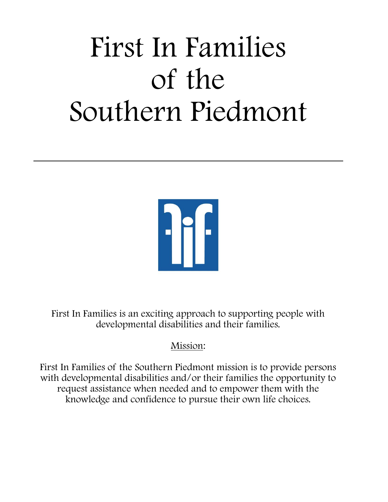# First In Families of the Southern Piedmont



First In Families is an exciting approach to supporting people with developmental disabilities and their families.

## Mission:

First In Families of the Southern Piedmont mission is to provide persons with developmental disabilities and/or their families the opportunity to request assistance when needed and to empower them with the knowledge and confidence to pursue their own life choices.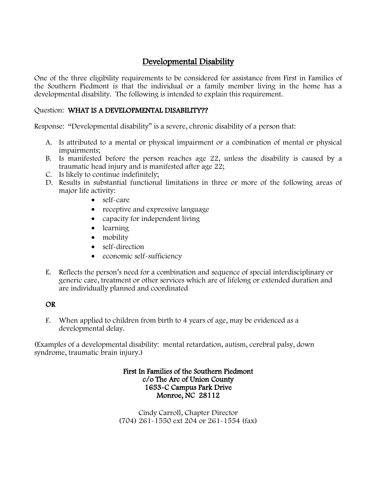#### Developmental Disability

One of the three eligibility requirements to be considered for assistance from First in Families of the Southern Piedmont is that the individual or a family member living in the home has a developmental disability. The following is intended to explain this requirement.

#### Question: WHAT IS A DEVELOPMENTAL DISABILITY??

Response: "Developmental disability" is a severe, chronic disability of a person that:

- A. Is attributed to a mental or physical impairment or a combination of mental or physical impairments;
- B. Is manifested before the person reaches age 22, unless the disability is caused by a traumatic head injury and is manifested after age 22;
- C. Is likely to continue indefinitely;
- D. Results in substantial functional limitations in three or more of the following areas of major life activity:
	- self-care
	- receptive and expressive language
	- capacity for independent living
	- learning
	- mobility
	- self-direction
	- economic self-sufficiency
- E. Reflects the person's need for a combination and sequence of special interdisciplinary or generic care, treatment or other services which are of lifelong or extended duration and are individually planned and coordinated

#### OR

F. When applied to children from birth to 4 years of age, may be evidenced as a developmental delay.

(Examples of a developmental disability: mental retardation, autism, cerebral palsy, down syndrome, traumatic brain injury.)

#### First In Families of the Southern Piedmont c/o The Arc of Union County 1653-C Campus Park Drive Monroe, NC 28112

Cindy Carroll, Chapter Director (704) 261-1550 ext 204 or 261-1554 (fax)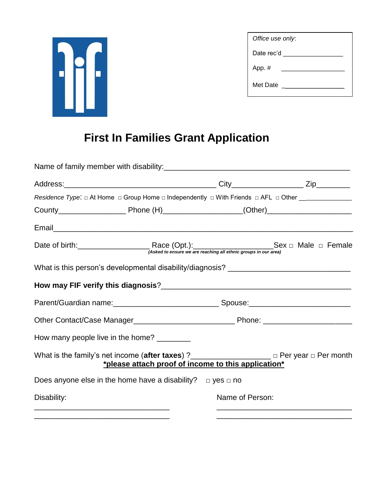

| Office use only: |  |
|------------------|--|
| Date rec'd __    |  |
| App. #           |  |
| Met Date         |  |

# **First In Families Grant Application**

|             | Name of family member with disability:<br>Name of family member with disability: |                 |                                                                                                                                   |
|-------------|----------------------------------------------------------------------------------|-----------------|-----------------------------------------------------------------------------------------------------------------------------------|
|             |                                                                                  |                 |                                                                                                                                   |
|             |                                                                                  |                 | Residence Type: $\Box$ At Home $\Box$ Group Home $\Box$ Independently $\Box$ With Friends $\Box$ AFL $\Box$ Other _______________ |
|             |                                                                                  |                 |                                                                                                                                   |
|             |                                                                                  |                 |                                                                                                                                   |
|             |                                                                                  |                 |                                                                                                                                   |
|             |                                                                                  |                 |                                                                                                                                   |
|             |                                                                                  |                 |                                                                                                                                   |
|             |                                                                                  |                 |                                                                                                                                   |
|             |                                                                                  |                 |                                                                                                                                   |
|             | How many people live in the home? ________                                       |                 |                                                                                                                                   |
|             | *please attach proof of income to this application*                              |                 | What is the family's net income (after taxes) ?<br>$\frac{1}{2}$ Per year $\Box$ Per month                                        |
|             | Does anyone else in the home have a disability? $\Box$ yes $\Box$ no             |                 |                                                                                                                                   |
| Disability: |                                                                                  | Name of Person: |                                                                                                                                   |
|             |                                                                                  |                 |                                                                                                                                   |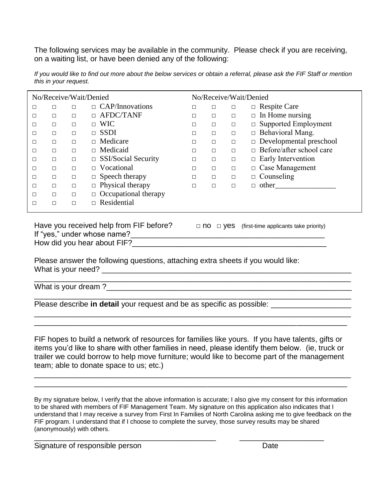The following services may be available in the community. Please check if you are receiving, on a waiting list, or have been denied any of the following:

| No/Receive/Wait/Denied |        |        | No/Receive/Wait/Denied      |   |        |        |                                 |
|------------------------|--------|--------|-----------------------------|---|--------|--------|---------------------------------|
| □                      |        | п      | $\Box$ CAP/Innovations      | П | □      | □      | $\Box$ Respite Care             |
| $\Box$                 | $\Box$ | п      | $\Box$ AFDC/TANF            | П | $\Box$ | $\Box$ | $\Box$ In Home nursing          |
| □                      | □      | □      | $\Box$ WIC                  | □ | $\Box$ | □      | $\Box$ Supported Employment     |
| $\Box$                 | П      | П      | $\Box$ SSDI                 | П | $\Box$ | $\Box$ | $\Box$ Behavioral Mang.         |
| □                      | $\Box$ | П      | $\Box$ Medicare             | П | П      | $\Box$ | $\Box$ Developmental preschool  |
| □                      |        | □      | $\Box$ Medicaid             | П | П      | $\Box$ | $\Box$ Before/after school care |
| $\Box$                 | $\Box$ | □      | $\Box$ SSI/Social Security  | □ | $\Box$ | $\Box$ | $\Box$ Early Intervention       |
| □                      | $\Box$ | П      | $\Box$ Vocational           | П | П      | $\Box$ | $\Box$ Case Management          |
| П                      | П      | $\Box$ | $\Box$ Speech therapy       | П | $\Box$ | $\Box$ | $\Box$ Counseling               |
| П                      | $\Box$ | □      | $\Box$ Physical therapy     | П | $\Box$ | $\Box$ | $\Box$ other                    |
| П                      | П      | П      | $\Box$ Occupational therapy |   |        |        |                                 |
| П                      | □      | □      | $\Box$ Residential          |   |        |        |                                 |

*If you would like to find out more about the below services or obtain a referral, please ask the FIF Staff or mention this in your request.*

Have you received help from FIF before?  $\Box$  no  $\Box$  yes (first-time applicants take priority) If "yes," under whose name?\_\_\_\_\_\_\_\_\_\_\_\_\_\_\_\_\_\_\_\_\_\_\_\_\_\_\_\_\_\_\_\_\_\_\_\_\_\_\_\_\_\_\_\_\_\_ How did you hear about FIF?

Please answer the following questions, attaching extra sheets if you would like: What is your need? \_\_\_\_\_\_\_\_\_\_\_\_\_\_\_\_\_\_\_\_\_\_\_\_\_\_\_\_\_\_\_\_\_\_\_\_\_\_\_\_\_\_\_\_\_\_\_\_\_\_\_\_\_\_\_\_\_\_\_

What is your dream?

Please describe **in detail** your request and be as specific as possible:

FIF hopes to build a network of resources for families like yours. If you have talents, gifts or items you'd like to share with other families in need, please identify them below. (ie, truck or trailer we could borrow to help move furniture; would like to become part of the management team; able to donate space to us; etc.)

\_\_\_\_\_\_\_\_\_\_\_\_\_\_\_\_\_\_\_\_\_\_\_\_\_\_\_\_\_\_\_\_\_\_\_\_\_\_\_\_\_\_\_\_\_\_\_\_\_\_\_\_\_\_\_\_\_\_\_\_\_\_\_\_\_\_\_\_\_\_\_\_\_\_\_ \_\_\_\_\_\_\_\_\_\_\_\_\_\_\_\_\_\_\_\_\_\_\_\_\_\_\_\_\_\_\_\_\_\_\_\_\_\_\_\_\_\_\_\_\_\_\_\_\_\_\_\_\_\_\_\_\_\_\_\_\_\_\_\_\_\_\_\_\_\_\_\_\_\_

\_\_\_\_\_\_\_\_\_\_\_\_\_\_\_\_\_\_\_\_\_\_\_\_\_\_\_\_\_\_\_\_\_\_\_\_\_\_\_\_\_\_\_\_\_\_\_\_\_\_\_\_\_\_\_\_\_\_\_\_\_\_\_\_\_\_\_\_\_\_\_\_\_\_\_ \_\_\_\_\_\_\_\_\_\_\_\_\_\_\_\_\_\_\_\_\_\_\_\_\_\_\_\_\_\_\_\_\_\_\_\_\_\_\_\_\_\_\_\_\_\_\_\_\_\_\_\_\_\_\_\_\_\_\_\_\_\_\_\_\_\_\_\_\_\_\_\_\_\_

By my signature below, I verify that the above information is accurate; I also give my consent for this information to be shared with members of FIF Management Team. My signature on this application also indicates that I understand that I may receive a survey from First In Families of North Carolina asking me to give feedback on the FIF program. I understand that if I choose to complete the survey, those survey results may be shared (anonymously) with others.

\_\_\_\_\_\_\_\_\_\_\_\_\_\_\_\_\_\_\_\_\_\_\_\_\_\_\_\_\_\_\_\_\_\_\_\_\_\_\_\_\_\_\_ \_\_\_\_\_\_\_\_\_\_\_\_\_\_\_\_\_\_\_\_

Signature of responsible person Date Date Date